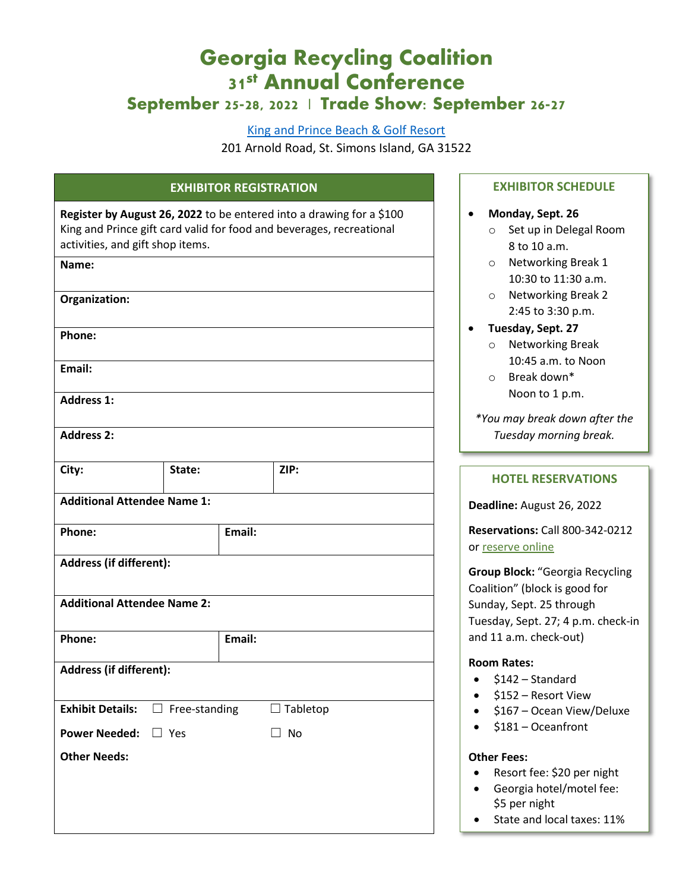# **Georgia Recycling Coalition 31st Annual Conference September 25-28, 2022 | Trade Show: September 26-27**

#### [King and Prince Beach & Golf Resort](https://www.kingandprince.com/)

201 Arnold Road, St. Simons Island, GA 31522

## **EXHIBITOR REGISTRATION**

| Register by August 26, 2022 to be entered into a drawing for a \$100 |
|----------------------------------------------------------------------|
| King and Prince gift card valid for food and beverages, recreational |
| activities, and gift shop items.                                     |
| Name:                                                                |

| Organization:                                |        |        |                 |  |  |
|----------------------------------------------|--------|--------|-----------------|--|--|
| Phone:                                       |        |        |                 |  |  |
| Email:                                       |        |        |                 |  |  |
| <b>Address 1:</b>                            |        |        |                 |  |  |
| <b>Address 2:</b>                            |        |        |                 |  |  |
| City:                                        | State: |        | ZIP:            |  |  |
| <b>Additional Attendee Name 1:</b>           |        |        |                 |  |  |
| Phone:                                       |        | Email: |                 |  |  |
| <b>Address (if different):</b>               |        |        |                 |  |  |
| <b>Additional Attendee Name 2:</b>           |        |        |                 |  |  |
| Phone:                                       |        | Email: |                 |  |  |
| Address (if different):                      |        |        |                 |  |  |
| <b>Exhibit Details:</b> $\Box$ Free-standing |        |        | $\Box$ Tabletop |  |  |
| <b>Power Needed:</b> □ Yes                   |        |        | $\Box$ No       |  |  |
| <b>Other Needs:</b>                          |        |        |                 |  |  |
|                                              |        |        |                 |  |  |
|                                              |        |        |                 |  |  |
|                                              |        |        |                 |  |  |

#### **EXHIBITOR SCHEDULE**

#### • **Monday, Sept. 26**

- o Set up in Delegal Room 8 to 10 a.m.
- o Networking Break 1 10:30 to 11:30 a.m.
- o Networking Break 2 2:45 to 3:30 p.m.
- **Tuesday, Sept. 27**
	- o Networking Break 10:45 a.m. to Noon
	- o Break down\* Noon to 1 p.m.

*\*You may break down after the Tuesday morning break.*

### **HOTEL RESERVATIONS**

**Deadline:** August 26, 2022

**Reservations:** Call 800-342-0212 o[r reserve online](https://reservations.travelclick.com/104020?groupID=3370148)

**Group Block:** "Georgia Recycling Coalition" (block is good for Sunday, Sept. 25 through Tuesday, Sept. 27; 4 p.m. check-in and 11 a.m. check-out)

#### **Room Rates:**

- $\bullet$  \$142 Standard
- \$152 Resort View
- \$167 Ocean View/Deluxe
- \$181 Oceanfront

#### **Other Fees:**

- Resort fee: \$20 per night
- Georgia hotel/motel fee: \$5 per night
- State and local taxes: 11%